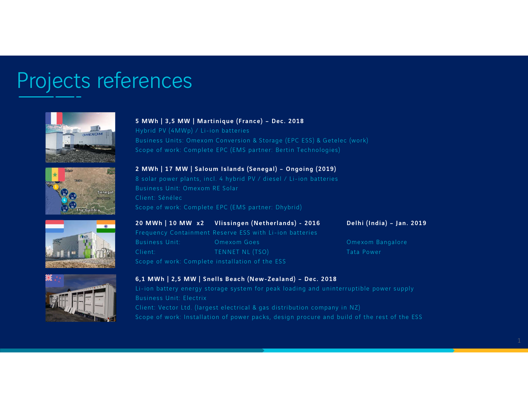## Projects references







8 solar power plants, incl. 4 hybrid PV / diesel / Li-ion batteries Business Unit: Omexom RE Solar Client: Sénélec Scope of work: Complete EPC (EMS partner: Dhybrid) Scope of work: Complete EPC (EMS partner: Bertin Technologies)<br>2 MWh | 17 MW | Saloum Islands (Senegal) – Ongoing (2019)<br>8 solar power plants, incl. 4 hybrid PV / diesel / Li-ion batteries<br>Business Unit: Omexom RE Solar<br>Cl 2 MWh | 17 MW | Saloum Islands (Senegal) – Ongoing (2019)<br>8 solar power plants, incl. 4 hybrid PV / diesel / Li-ion batteries<br>Business Unit: Omexom RE Solar<br>Client: Sénélec<br>Scope of work: Complete EPC (EMS partner: Dhybrid 8 solar power plants, incl. 4 hybrid PV / diesel / Li-ion batteries<br>Business Unit: Omexom RE Solar<br>Client: Sénélec<br>Scope of work: Complete EPC (EMS partner: Dhybrid)<br>**20 MWh | 10 MW x2 Vlissingen (Netherlands) - 2016** 



Scope of work: Complete installation of the ESS

Scope of work: Complete EPC (EMS partner: Dhybrid)<br>
20 MWh | 10 MW x2 Vlissingen (Netherlands) - 2016 Delhi (India) – Jan.<br>
Frequency Containment Reserve ESS with Li-ion batteries<br>
Business Unit: Omexom Goes Omexom Bangalo Li-ion battery energy storage system for peak loading and uninterruptible power supply Business Unit: Electrix Client: Vector Ltd. (largest electrical & gas distribution company in NZ) Scope of work: Installation of power packs, design procure and build of the rest of the ESS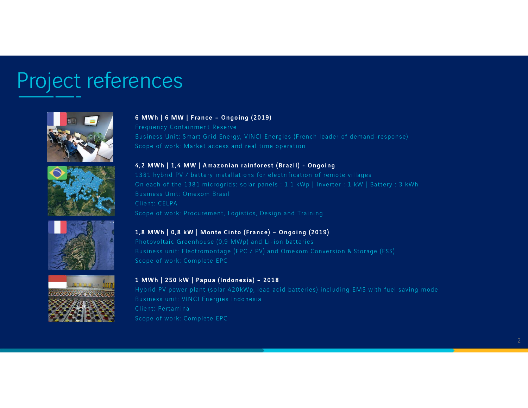# Project references









6 MWh | 6 MW | France – Ongoing (2019) Frequency Containment Reserve Business Unit: Smart Grid Energy, VINCI Energies (French leader of demand-response)

6 MWh | 6 MW | France – Ongoing (2019)<br>Frequency Containment Reserve<br>Business Unit: Smart Grid Energy, VINCI Energies (French leader of demand-response)<br>Scope of work: Market access and real time operation<br>4,2 MWh | 1,4 MW 1381 hybrid PV / battery installations for electrification of remote villages 6 MWh | 6 MW | France – Ongoing (2019)<br>Frequency Containment Reserve<br>Business Unit: Smart Grid Energy, VINCI Energies (French leader of demand-response)<br>Scope of work: Market access and real time operation<br>4,2 MWh | 1,4 MW Business Unit: Omexom Brasil Client: CELPA 4,2 MWh | 1,4 MW | Amazonian rainforest (Brazil) - Ongoing<br>1381 hybrid PV / battery installations for electrification of remote villages<br>On each of the 1381 microgrids: solar panels : 1.1 kWp | Inverter : 1 kW | Batte<br>Busi 1991 The Market Procedure of electromontage (Promote Theorem 1990)<br>On each of the 1381 microgrids: solar panels : 1.1 kWp | Inverter : 1 kW | Battery : 3 kWf<br>Business Unit: Omexom Brasil<br>Client: CELPA<br>Scope of work: Procur

Photovoltaic Greenhouse (0,9 MWp) and Li-ion batteries Scope of work: Procurement, Logistics, Design and Training<br> **1,8 MWh | 0,8 kW | Monte Cinto (France) – Ongoing (2019)**<br>
Photovoltaic Greenhouse (0,9 MWp) and Li-ion batteries<br>
Business unit: Electromontage (EPC / PV) and O

Hybrid PV power plant (solar 420kWp, lead acid batteries) including EMS with fuel saving mode Business unit: VINCI Energies Indonesia Client: Pertamina Scope of work: Complete EPC